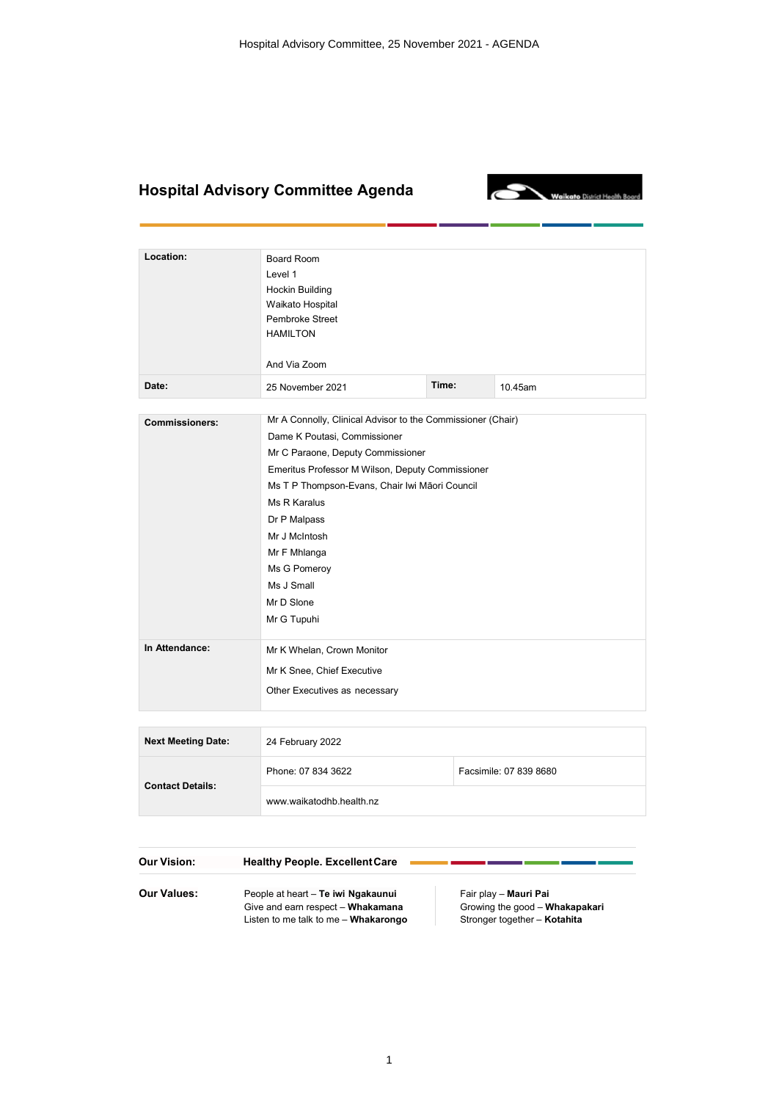## **Hospital Advisory Committee Agenda**

**Contact Details:**



| Location:                 | Board Room<br>Level 1<br><b>Hockin Building</b><br>Waikato Hospital<br>Pembroke Street<br><b>HAMILTON</b><br>And Via Zoom |       |                        |  |
|---------------------------|---------------------------------------------------------------------------------------------------------------------------|-------|------------------------|--|
| Date:                     | 25 November 2021                                                                                                          | Time: | 10.45am                |  |
|                           |                                                                                                                           |       |                        |  |
| <b>Commissioners:</b>     | Mr A Connolly, Clinical Advisor to the Commissioner (Chair)                                                               |       |                        |  |
|                           | Dame K Poutasi, Commissioner                                                                                              |       |                        |  |
|                           | Mr C Paraone, Deputy Commissioner                                                                                         |       |                        |  |
|                           | Emeritus Professor M Wilson, Deputy Commissioner                                                                          |       |                        |  |
|                           | Ms T P Thompson-Evans, Chair Iwi Māori Council                                                                            |       |                        |  |
|                           | Ms R Karalus                                                                                                              |       |                        |  |
|                           | Dr P Malpass                                                                                                              |       |                        |  |
|                           | Mr J McIntosh                                                                                                             |       |                        |  |
|                           | Mr F Mhlanga                                                                                                              |       |                        |  |
|                           | Ms G Pomeroy                                                                                                              |       |                        |  |
|                           | Ms J Small                                                                                                                |       |                        |  |
|                           | Mr D Slone                                                                                                                |       |                        |  |
|                           | Mr G Tupuhi                                                                                                               |       |                        |  |
| In Attendance:            | Mr K Whelan, Crown Monitor                                                                                                |       |                        |  |
|                           | Mr K Snee, Chief Executive                                                                                                |       |                        |  |
|                           | Other Executives as necessary                                                                                             |       |                        |  |
|                           |                                                                                                                           |       |                        |  |
| <b>Next Meeting Date:</b> | 24 February 2022                                                                                                          |       |                        |  |
|                           | Phone: 07 834 3622                                                                                                        |       | Facsimile: 07 839 8680 |  |

| Our Vision: | <b>Healthy People. Excellent Care</b>                                     |                                                                |
|-------------|---------------------------------------------------------------------------|----------------------------------------------------------------|
| Our Values: | People at heart - Te iwi Ngakaunui                                        | Fair play - Mauri Pai                                          |
|             | Give and earn respect - Whakamana<br>Listen to me talk to me - Whakarongo | Growing the good - Whakapakari<br>Stronger together - Kotahita |

[www.waikatodhb.health.nz](http://www.waikatodhb.health.nz/)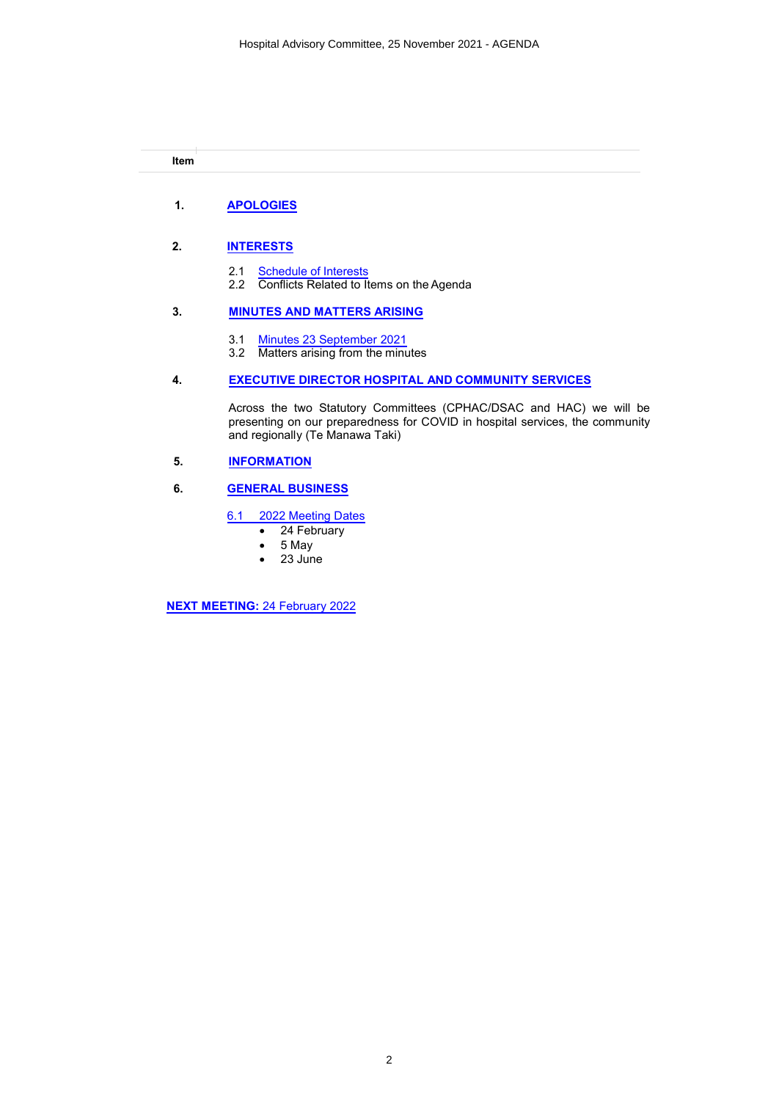## **Item**

#### **1. [APOLOGIES](#page-2-0)**

#### **2. [INTERESTS](#page-3-0)**

- 2.1 [Schedule of Interests](#page-4-0)
- 2.2 Conflicts Related to Items on the Agenda

#### **3. [MINUTES AND MATTERS ARISING](#page-10-0)**

- 3.1 [Minutes 23 September 2021](#page-11-0)
- 3.2 Matters arising from the minutes

#### **4. [EXECUTIVE DIRECTOR HOSPITAL AND COMMUNITY SERVICES](#page-16-0)**

Across the two Statutory Committees (CPHAC/DSAC and HAC) we will be presenting on our preparedness for COVID in hospital services, the community and regionally (Te Manawa Taki)

#### **5. [INFORMATION](#page-17-0)**

#### **6. [GENERAL BUSINESS](#page-18-0)**

#### 6.1 [2022 Meeting Dates](#page-19-0)

- ∑ 24 February
- ∑ 5 May
- ∑ 23 June

**[NEXT MEETING:](#page-20-0)** 24 February 2022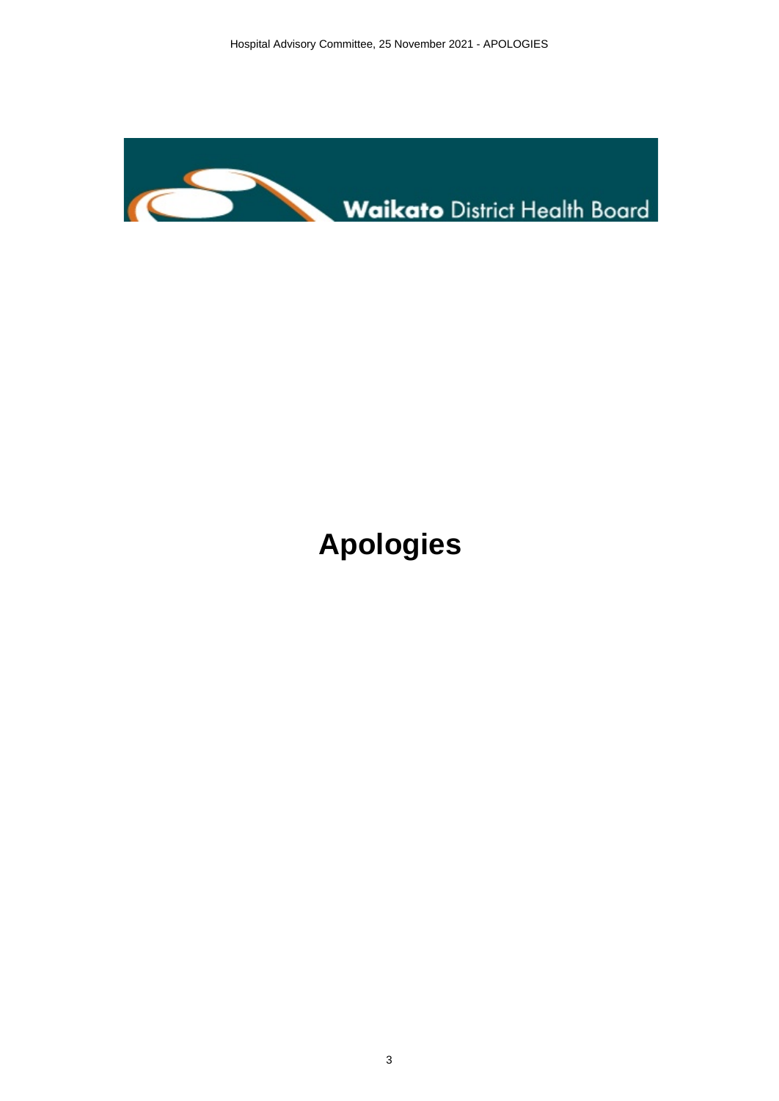<span id="page-2-0"></span>

## **Apologies**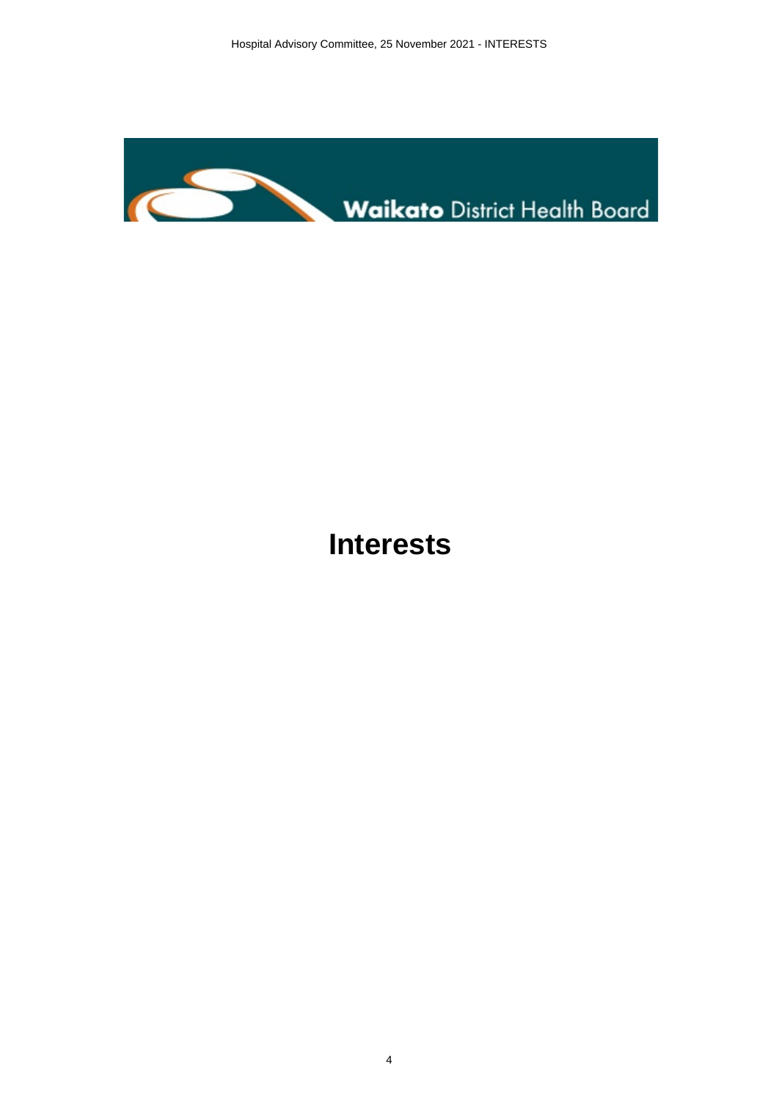<span id="page-3-0"></span>

## **Interests**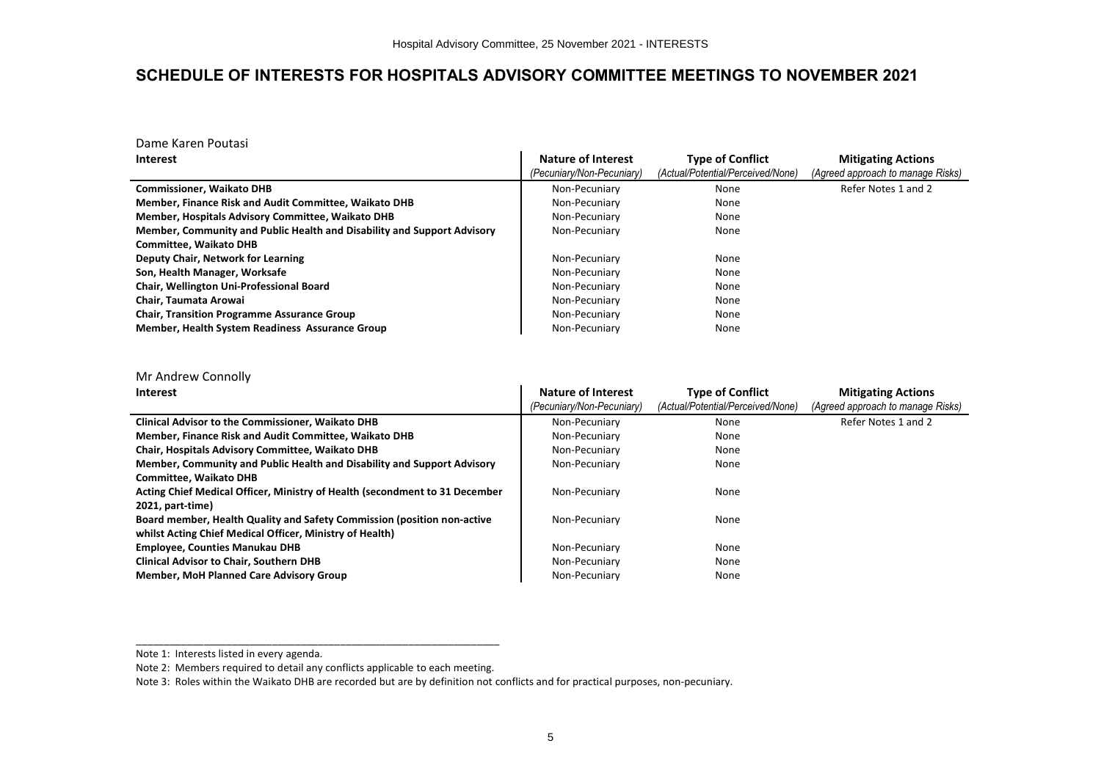### <span id="page-4-0"></span>**SCHEDULE OF INTERESTS FOR HOSPITALS ADVISORY COMMITTEE MEETINGS TO NOVEMBER 2021**

Dame Karen Poutasi

| <b>Interest</b>                                                         | Nature of Interest        | <b>Type of Conflict</b>           | <b>Mitigating Actions</b>         |
|-------------------------------------------------------------------------|---------------------------|-----------------------------------|-----------------------------------|
|                                                                         | (Pecuniary/Non-Pecuniary) | (Actual/Potential/Perceived/None) | (Agreed approach to manage Risks) |
| <b>Commissioner, Waikato DHB</b>                                        | Non-Pecuniary             | None                              | Refer Notes 1 and 2               |
| Member, Finance Risk and Audit Committee, Waikato DHB                   | Non-Pecuniary             | None                              |                                   |
| Member, Hospitals Advisory Committee, Waikato DHB                       | Non-Pecuniary             | None                              |                                   |
| Member, Community and Public Health and Disability and Support Advisory | Non-Pecuniary             | None                              |                                   |
| <b>Committee. Waikato DHB</b>                                           |                           |                                   |                                   |
| Deputy Chair, Network for Learning                                      | Non-Pecuniary             | None                              |                                   |
| Son, Health Manager, Worksafe                                           | Non-Pecuniary             | None                              |                                   |
| Chair, Wellington Uni-Professional Board                                | Non-Pecuniary             | None                              |                                   |
| Chair. Taumata Arowai                                                   | Non-Pecuniary             | None                              |                                   |
| <b>Chair, Transition Programme Assurance Group</b>                      | Non-Pecuniary             | None                              |                                   |
| Member, Health System Readiness Assurance Group                         | Non-Pecuniary             | None                              |                                   |

Mr Andrew Connolly

| <b>Interest</b>                                                             | Nature of Interest<br>(Pecuniary/Non-Pecuniary) | <b>Type of Conflict</b><br>(Actual/Potential/Perceived/None) | <b>Mitigating Actions</b><br>(Agreed approach to manage Risks) |
|-----------------------------------------------------------------------------|-------------------------------------------------|--------------------------------------------------------------|----------------------------------------------------------------|
| <b>Clinical Advisor to the Commissioner, Waikato DHB</b>                    | Non-Pecuniary                                   | None                                                         | Refer Notes 1 and 2                                            |
| Member, Finance Risk and Audit Committee, Waikato DHB                       | Non-Pecuniary                                   | None                                                         |                                                                |
| Chair, Hospitals Advisory Committee, Waikato DHB                            | Non-Pecuniary                                   | None                                                         |                                                                |
| Member, Community and Public Health and Disability and Support Advisory     | Non-Pecuniary                                   | None                                                         |                                                                |
| <b>Committee. Waikato DHB</b>                                               |                                                 |                                                              |                                                                |
| Acting Chief Medical Officer, Ministry of Health (secondment to 31 December | Non-Pecuniary                                   | None                                                         |                                                                |
| 2021, part-time)                                                            |                                                 |                                                              |                                                                |
| Board member, Health Quality and Safety Commission (position non-active     | Non-Pecuniary                                   | None                                                         |                                                                |
| whilst Acting Chief Medical Officer, Ministry of Health)                    |                                                 |                                                              |                                                                |
| <b>Employee, Counties Manukau DHB</b>                                       | Non-Pecuniary                                   | None                                                         |                                                                |
| <b>Clinical Advisor to Chair, Southern DHB</b>                              | Non-Pecuniary                                   | None                                                         |                                                                |
| <b>Member, MoH Planned Care Advisory Group</b>                              | Non-Pecuniary                                   | None                                                         |                                                                |

Note 1: Interests listed in every agenda.

Note 2: Members required to detail any conflicts applicable to each meeting.

Note 3: Roles within the Waikato DHB are recorded but are by definition not conflicts and for practical purposes, non-pecuniary.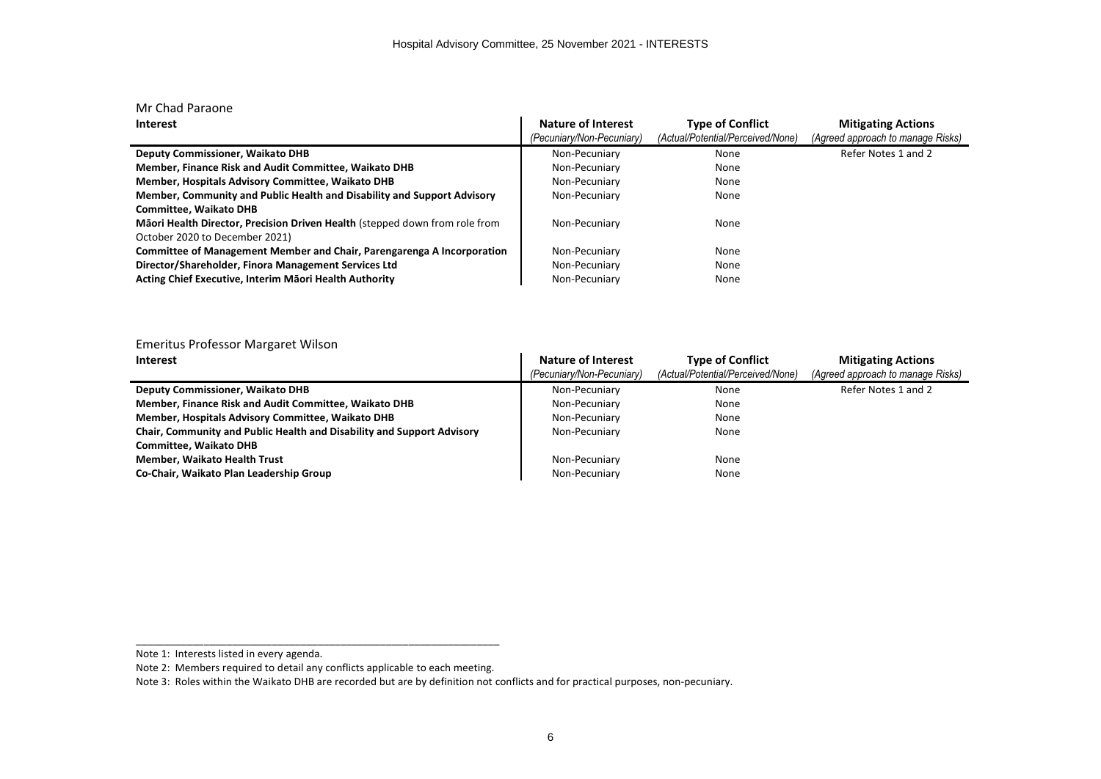| Mr Chad Paraone                                                             |                           |                                   |                                   |
|-----------------------------------------------------------------------------|---------------------------|-----------------------------------|-----------------------------------|
| <b>Interest</b>                                                             | Nature of Interest        | <b>Type of Conflict</b>           | <b>Mitigating Actions</b>         |
|                                                                             | (Pecuniary/Non-Pecuniary) | (Actual/Potential/Perceived/None) | (Agreed approach to manage Risks) |
| <b>Deputy Commissioner, Waikato DHB</b>                                     | Non-Pecuniary             | None                              | Refer Notes 1 and 2               |
| Member, Finance Risk and Audit Committee, Waikato DHB                       | Non-Pecuniary             | None                              |                                   |
| Member, Hospitals Advisory Committee, Waikato DHB                           | Non-Pecuniary             | None                              |                                   |
| Member, Community and Public Health and Disability and Support Advisory     | Non-Pecuniary             | None                              |                                   |
| <b>Committee. Waikato DHB</b>                                               |                           |                                   |                                   |
| Māori Health Director, Precision Driven Health (stepped down from role from | Non-Pecuniary             | None                              |                                   |
| October 2020 to December 2021)                                              |                           |                                   |                                   |
| Committee of Management Member and Chair, Parengarenga A Incorporation      | Non-Pecuniary             | None                              |                                   |
| Director/Shareholder, Finora Management Services Ltd                        | Non-Pecuniary             | None                              |                                   |
| Acting Chief Executive, Interim Māori Health Authority                      | Non-Pecuniary             | None                              |                                   |

| Emeritus Professor Margaret Wilson                                     |                           |                                   |                                   |
|------------------------------------------------------------------------|---------------------------|-----------------------------------|-----------------------------------|
| <b>Interest</b>                                                        | Nature of Interest        | <b>Type of Conflict</b>           | <b>Mitigating Actions</b>         |
|                                                                        | (Pecuniary/Non-Pecuniary) | (Actual/Potential/Perceived/None) | (Agreed approach to manage Risks) |
| <b>Deputy Commissioner, Waikato DHB</b>                                | Non-Pecuniary             | None                              | Refer Notes 1 and 2               |
| Member, Finance Risk and Audit Committee, Waikato DHB                  | Non-Pecuniary             | None                              |                                   |
| Member, Hospitals Advisory Committee, Waikato DHB                      | Non-Pecuniary             | None                              |                                   |
| Chair, Community and Public Health and Disability and Support Advisory | Non-Pecuniary             | None                              |                                   |
| <b>Committee, Waikato DHB</b>                                          |                           |                                   |                                   |
| <b>Member, Waikato Health Trust</b>                                    | Non-Pecuniary             | None                              |                                   |
| Co-Chair, Waikato Plan Leadership Group                                | Non-Pecuniary             | None                              |                                   |

Note 1: Interests listed in every agenda.

Note 2: Members required to detail any conflicts applicable to each meeting.

Note 3: Roles within the Waikato DHB are recorded but are by definition not conflicts and for practical purposes, non-pecuniary.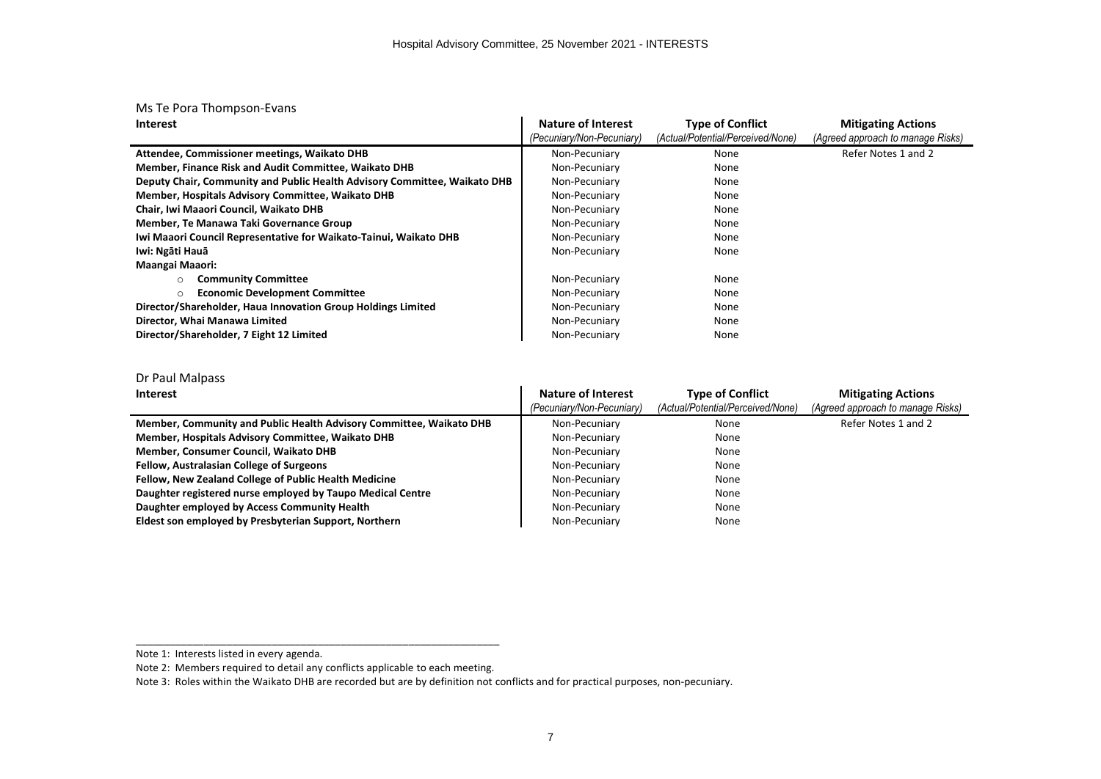|  | Ms Te Pora Thompson-Evans |
|--|---------------------------|
|--|---------------------------|

| <b>Interest</b>                                                           | <b>Nature of Interest</b> | <b>Type of Conflict</b>           | <b>Mitigating Actions</b>         |
|---------------------------------------------------------------------------|---------------------------|-----------------------------------|-----------------------------------|
|                                                                           | (Pecuniary/Non-Pecuniary) | (Actual/Potential/Perceived/None) | (Agreed approach to manage Risks) |
| Attendee, Commissioner meetings, Waikato DHB                              | Non-Pecuniary             | None                              | Refer Notes 1 and 2               |
| Member, Finance Risk and Audit Committee, Waikato DHB                     | Non-Pecuniary             | None                              |                                   |
| Deputy Chair, Community and Public Health Advisory Committee, Waikato DHB | Non-Pecuniary             | None                              |                                   |
| Member, Hospitals Advisory Committee, Waikato DHB                         | Non-Pecuniary             | None                              |                                   |
| Chair, Iwi Maaori Council, Waikato DHB                                    | Non-Pecuniary             | None                              |                                   |
| Member, Te Manawa Taki Governance Group                                   | Non-Pecuniary             | None                              |                                   |
| Iwi Maaori Council Representative for Waikato-Tainui, Waikato DHB         | Non-Pecuniary             | None                              |                                   |
| Iwi: Ngāti Hauā                                                           | Non-Pecuniary             | None                              |                                   |
| Maangai Maaori:                                                           |                           |                                   |                                   |
| <b>Community Committee</b>                                                | Non-Pecuniary             | None                              |                                   |
| <b>Economic Development Committee</b><br>O                                | Non-Pecuniary             | None                              |                                   |
| Director/Shareholder, Haua Innovation Group Holdings Limited              | Non-Pecuniary             | None                              |                                   |
| Director, Whai Manawa Limited                                             | Non-Pecuniary             | None                              |                                   |
| Director/Shareholder, 7 Eight 12 Limited                                  | Non-Pecuniary             | None                              |                                   |

#### Dr Paul Malpass

| Interest                                                            | Nature of Interest<br>(Pecuniary/Non-Pecuniary) | <b>Type of Conflict</b><br>(Actual/Potential/Perceived/None) | <b>Mitigating Actions</b><br>(Agreed approach to manage Risks) |
|---------------------------------------------------------------------|-------------------------------------------------|--------------------------------------------------------------|----------------------------------------------------------------|
| Member, Community and Public Health Advisory Committee, Waikato DHB | Non-Pecuniary                                   | None                                                         | Refer Notes 1 and 2                                            |
| Member, Hospitals Advisory Committee, Waikato DHB                   | Non-Pecuniary                                   | None                                                         |                                                                |
| Member, Consumer Council, Waikato DHB                               | Non-Pecuniary                                   | None                                                         |                                                                |
| <b>Fellow, Australasian College of Surgeons</b>                     | Non-Pecuniary                                   | None                                                         |                                                                |
| Fellow, New Zealand College of Public Health Medicine               | Non-Pecuniary                                   | None                                                         |                                                                |
| Daughter registered nurse employed by Taupo Medical Centre          | Non-Pecuniary                                   | None                                                         |                                                                |
| Daughter employed by Access Community Health                        | Non-Pecuniary                                   | None                                                         |                                                                |
| Eldest son employed by Presbyterian Support, Northern               | Non-Pecuniary                                   | None                                                         |                                                                |

Note 1: Interests listed in every agenda.

Note 2: Members required to detail any conflicts applicable to each meeting.

Note 3: Roles within the Waikato DHB are recorded but are by definition not conflicts and for practical purposes, non-pecuniary.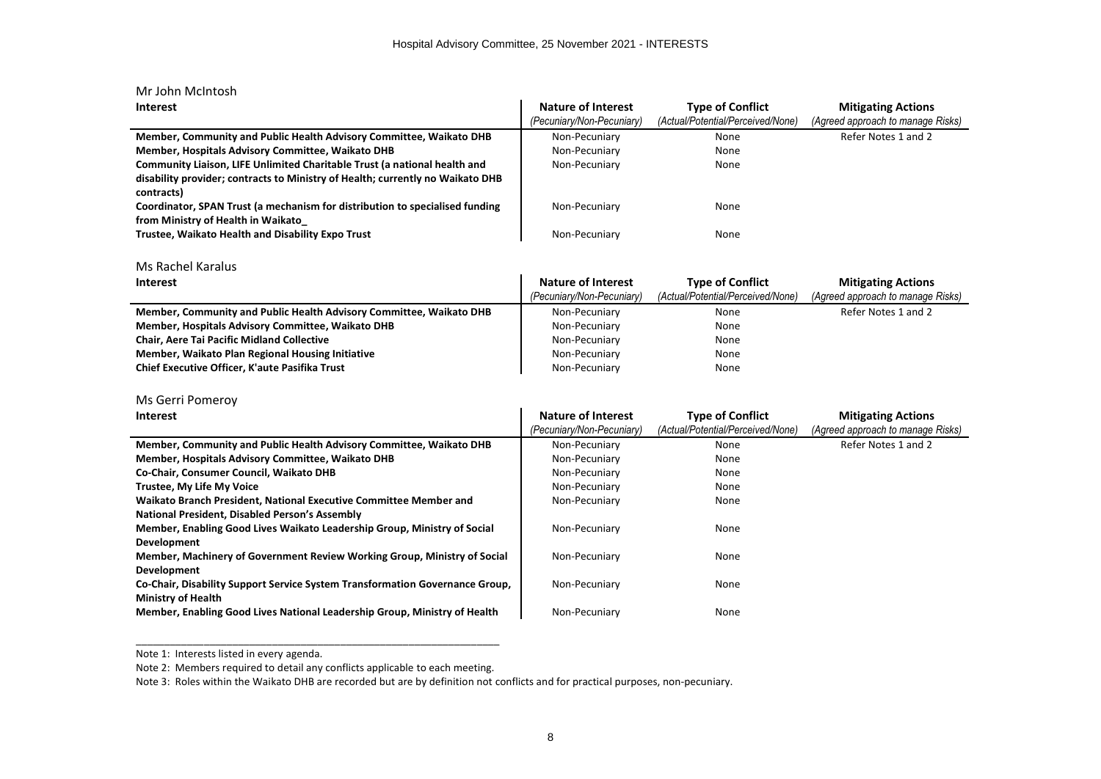| Mr John McIntosh                                                                                                                                                          |                                                 |                                                              |                                                                |
|---------------------------------------------------------------------------------------------------------------------------------------------------------------------------|-------------------------------------------------|--------------------------------------------------------------|----------------------------------------------------------------|
| <b>Interest</b>                                                                                                                                                           | Nature of Interest<br>(Pecuniary/Non-Pecuniary) | <b>Type of Conflict</b><br>(Actual/Potential/Perceived/None) | <b>Mitigating Actions</b><br>(Agreed approach to manage Risks) |
| Member, Community and Public Health Advisory Committee, Waikato DHB                                                                                                       | Non-Pecuniary                                   | None                                                         | Refer Notes 1 and 2                                            |
| Member, Hospitals Advisory Committee, Waikato DHB                                                                                                                         | Non-Pecuniary                                   | None                                                         |                                                                |
| Community Liaison, LIFE Unlimited Charitable Trust (a national health and<br>disability provider; contracts to Ministry of Health; currently no Waikato DHB<br>contracts) | Non-Pecuniary                                   | None                                                         |                                                                |
| Coordinator, SPAN Trust (a mechanism for distribution to specialised funding<br>from Ministry of Health in Waikato                                                        | Non-Pecuniary                                   | None                                                         |                                                                |
| Trustee, Waikato Health and Disability Expo Trust                                                                                                                         | Non-Pecuniary                                   | None                                                         |                                                                |
| Ms Rachel Karalus                                                                                                                                                         |                                                 |                                                              |                                                                |

| <b>Interest</b>                                                     | <b>Nature of Interest</b> | <b>Type of Conflict</b>           | <b>Mitigating Actions</b>         |
|---------------------------------------------------------------------|---------------------------|-----------------------------------|-----------------------------------|
|                                                                     | (Pecuniary/Non-Pecuniary) | (Actual/Potential/Perceived/None) | (Agreed approach to manage Risks) |
| Member, Community and Public Health Advisory Committee, Waikato DHB | Non-Pecuniary             | None                              | Refer Notes 1 and 2               |
| Member, Hospitals Advisory Committee, Waikato DHB                   | Non-Pecuniary             | None                              |                                   |
| <b>Chair, Aere Tai Pacific Midland Collective</b>                   | Non-Pecuniary             | None                              |                                   |
| Member, Waikato Plan Regional Housing Initiative                    | Non-Pecuniary             | None                              |                                   |
| Chief Executive Officer, K'aute Pasifika Trust                      | Non-Pecuniary             | None                              |                                   |

Ms Gerri Pomeroy

| <b>Interest</b>                                                              | <b>Nature of Interest</b> | <b>Type of Conflict</b>           | <b>Mitigating Actions</b>         |
|------------------------------------------------------------------------------|---------------------------|-----------------------------------|-----------------------------------|
|                                                                              | (Pecuniary/Non-Pecuniary) | (Actual/Potential/Perceived/None) | (Agreed approach to manage Risks) |
| Member, Community and Public Health Advisory Committee, Waikato DHB          | Non-Pecuniary             | None                              | Refer Notes 1 and 2               |
| Member, Hospitals Advisory Committee, Waikato DHB                            | Non-Pecuniary             | None                              |                                   |
| Co-Chair, Consumer Council, Waikato DHB                                      | Non-Pecuniary             | None                              |                                   |
| Trustee, My Life My Voice                                                    | Non-Pecuniary             | None                              |                                   |
| Waikato Branch President, National Executive Committee Member and            | Non-Pecuniary             | None                              |                                   |
| National President, Disabled Person's Assembly                               |                           |                                   |                                   |
| Member, Enabling Good Lives Waikato Leadership Group, Ministry of Social     | Non-Pecuniary             | None                              |                                   |
| Development                                                                  |                           |                                   |                                   |
| Member, Machinery of Government Review Working Group, Ministry of Social     | Non-Pecuniary             | None                              |                                   |
| Development                                                                  |                           |                                   |                                   |
| Co-Chair, Disability Support Service System Transformation Governance Group, | Non-Pecuniary             | None                              |                                   |
| <b>Ministry of Health</b>                                                    |                           |                                   |                                   |
| Member, Enabling Good Lives National Leadership Group, Ministry of Health    | Non-Pecuniary             | None                              |                                   |

Note 1: Interests listed in every agenda.

Note 2: Members required to detail any conflicts applicable to each meeting.

\_\_\_\_\_\_\_\_\_\_\_\_\_\_\_\_\_\_\_\_\_\_\_\_\_\_\_\_\_\_\_\_\_\_\_\_\_\_\_\_\_\_\_\_\_\_\_\_\_\_\_\_\_\_\_\_\_\_\_\_\_\_\_\_

Note 3: Roles within the Waikato DHB are recorded but are by definition not conflicts and for practical purposes, non-pecuniary.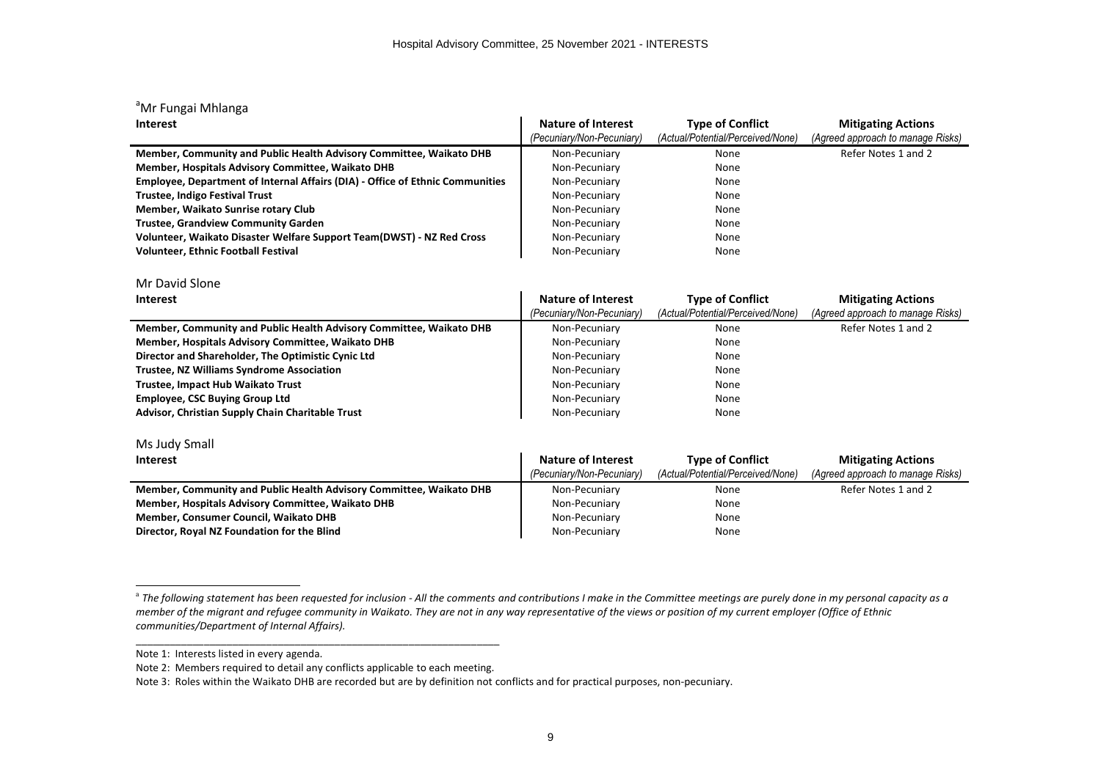| <sup>a</sup> Mr Fungai Mhlanga                                                |                           |                                   |                                   |
|-------------------------------------------------------------------------------|---------------------------|-----------------------------------|-----------------------------------|
| <b>Interest</b>                                                               | <b>Nature of Interest</b> | <b>Type of Conflict</b>           | <b>Mitigating Actions</b>         |
|                                                                               | (Pecuniary/Non-Pecuniary) | (Actual/Potential/Perceived/None) | (Agreed approach to manage Risks) |
| Member, Community and Public Health Advisory Committee, Waikato DHB           | Non-Pecuniary             | None                              | Refer Notes 1 and 2               |
| Member, Hospitals Advisory Committee, Waikato DHB                             | Non-Pecuniary             | None                              |                                   |
| Employee, Department of Internal Affairs (DIA) - Office of Ethnic Communities | Non-Pecuniary             | None                              |                                   |
| <b>Trustee, Indigo Festival Trust</b>                                         | Non-Pecuniary             | None                              |                                   |
| Member, Waikato Sunrise rotary Club                                           | Non-Pecuniary             | None                              |                                   |
| <b>Trustee, Grandview Community Garden</b>                                    | Non-Pecuniary             | None                              |                                   |
| Volunteer, Waikato Disaster Welfare Support Team(DWST) - NZ Red Cross         | Non-Pecuniary             | None                              |                                   |
| <b>Volunteer, Ethnic Football Festival</b>                                    | Non-Pecuniary             | None                              |                                   |
|                                                                               |                           |                                   |                                   |
| Mr David Slone                                                                |                           |                                   |                                   |
| <b>Interest</b>                                                               | <b>Nature of Interest</b> | <b>Type of Conflict</b>           | <b>Mitigating Actions</b>         |
|                                                                               | (Pecuniary/Non-Pecuniary) | (Actual/Potential/Perceived/None) | (Agreed approach to manage Risks) |
| Member, Community and Public Health Advisory Committee, Waikato DHB           | Non-Pecuniary             | None                              | Refer Notes 1 and 2               |
| Member, Hospitals Advisory Committee, Waikato DHB                             | Non-Pecuniary             | None                              |                                   |
| Director and Shareholder, The Optimistic Cynic Ltd                            | Non-Pecuniary             | None                              |                                   |
| <b>Trustee, NZ Williams Syndrome Association</b>                              | Non-Pecuniary             | None                              |                                   |
| <b>Trustee, Impact Hub Waikato Trust</b>                                      | Non-Pecuniary             | None                              |                                   |
| <b>Employee, CSC Buying Group Ltd</b>                                         | Non-Pecuniary             | None                              |                                   |
| Advisor, Christian Supply Chain Charitable Trust                              | Non-Pecuniary             | None                              |                                   |
|                                                                               |                           |                                   |                                   |
| Ms Judy Small                                                                 |                           |                                   |                                   |
| <b>Interest</b>                                                               | <b>Nature of Interest</b> | <b>Type of Conflict</b>           | <b>Mitigating Actions</b>         |
|                                                                               | (Pecuniary/Non-Pecuniary) | (Actual/Potential/Perceived/None) | (Agreed approach to manage Risks) |
| Member, Community and Public Health Advisory Committee, Waikato DHB           | Non-Pecuniary             | None                              | Refer Notes 1 and 2               |
| Member, Hospitals Advisory Committee, Waikato DHB                             | Non-Pecuniary             | None                              |                                   |
| Member, Consumer Council, Waikato DHB                                         | Non-Pecuniary             | None                              |                                   |
| Director, Royal NZ Foundation for the Blind                                   | Non-Pecuniary             | None                              |                                   |
|                                                                               |                           |                                   |                                   |

<sup>&</sup>lt;sup>a</sup> The following statement has been requested for inclusion - All the comments and contributions I make in the Committee meetings are purely done in my personal capacity as a *member of the migrant and refugee community in Waikato. They are not in any way representative of the views or position of my current employer (Office of Ethnic communities/Department of Internal Affairs).*

Note 1: Interests listed in every agenda.

Note 2: Members required to detail any conflicts applicable to each meeting.

Note 3: Roles within the Waikato DHB are recorded but are by definition not conflicts and for practical purposes, non-pecuniary.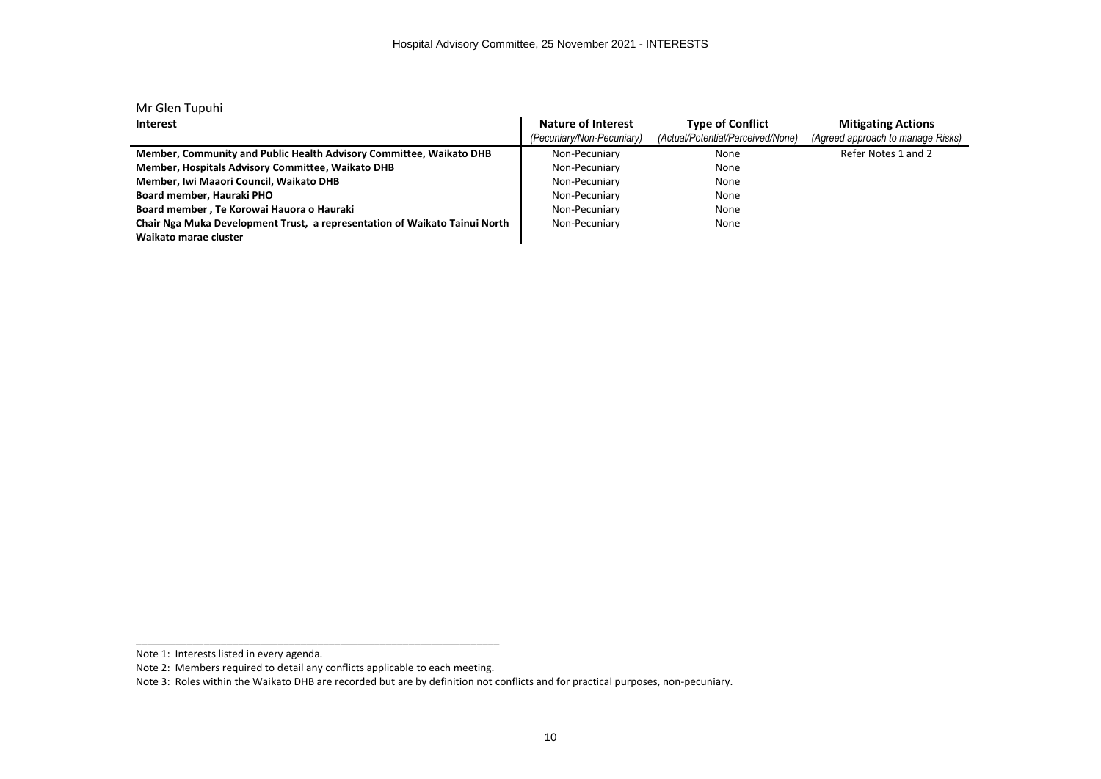| Mr Glen Tupuhi                                                                                      |                           |                                   |                                   |
|-----------------------------------------------------------------------------------------------------|---------------------------|-----------------------------------|-----------------------------------|
| <b>Interest</b>                                                                                     | Nature of Interest        | <b>Type of Conflict</b>           | <b>Mitigating Actions</b>         |
|                                                                                                     | (Pecuniary/Non-Pecuniary) | (Actual/Potential/Perceived/None) | (Agreed approach to manage Risks) |
| Member, Community and Public Health Advisory Committee, Waikato DHB                                 | Non-Pecuniary             | None                              | Refer Notes 1 and 2               |
| Member, Hospitals Advisory Committee, Waikato DHB                                                   | Non-Pecuniary             | None                              |                                   |
| Member, Iwi Maaori Council, Waikato DHB                                                             | Non-Pecuniary             | None                              |                                   |
| Board member, Hauraki PHO                                                                           | Non-Pecuniary             | None                              |                                   |
| Board member, Te Korowai Hauora o Hauraki                                                           | Non-Pecuniary             | None                              |                                   |
| Chair Nga Muka Development Trust, a representation of Waikato Tainui North<br>Waikato marae cluster | Non-Pecuniary             | None                              |                                   |

Note 1: Interests listed in every agenda.

Note 2: Members required to detail any conflicts applicable to each meeting.

Note 3: Roles within the Waikato DHB are recorded but are by definition not conflicts and for practical purposes, non-pecuniary.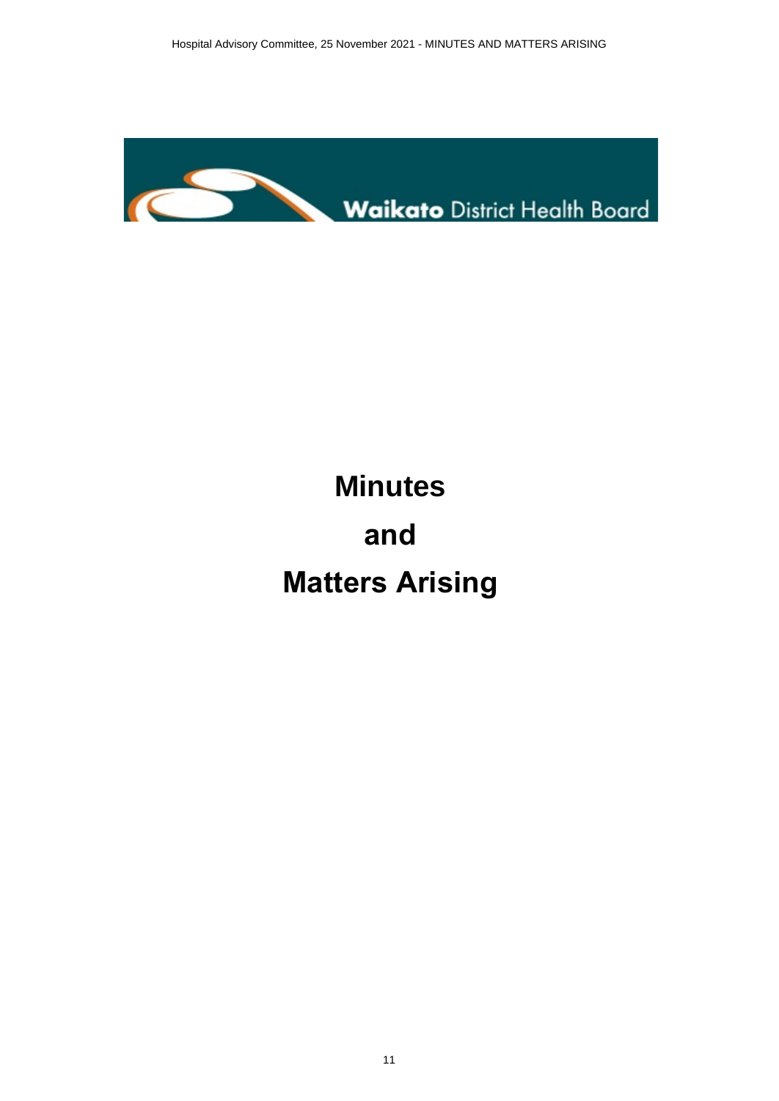<span id="page-10-0"></span>

# **Minutes and Matters Arising**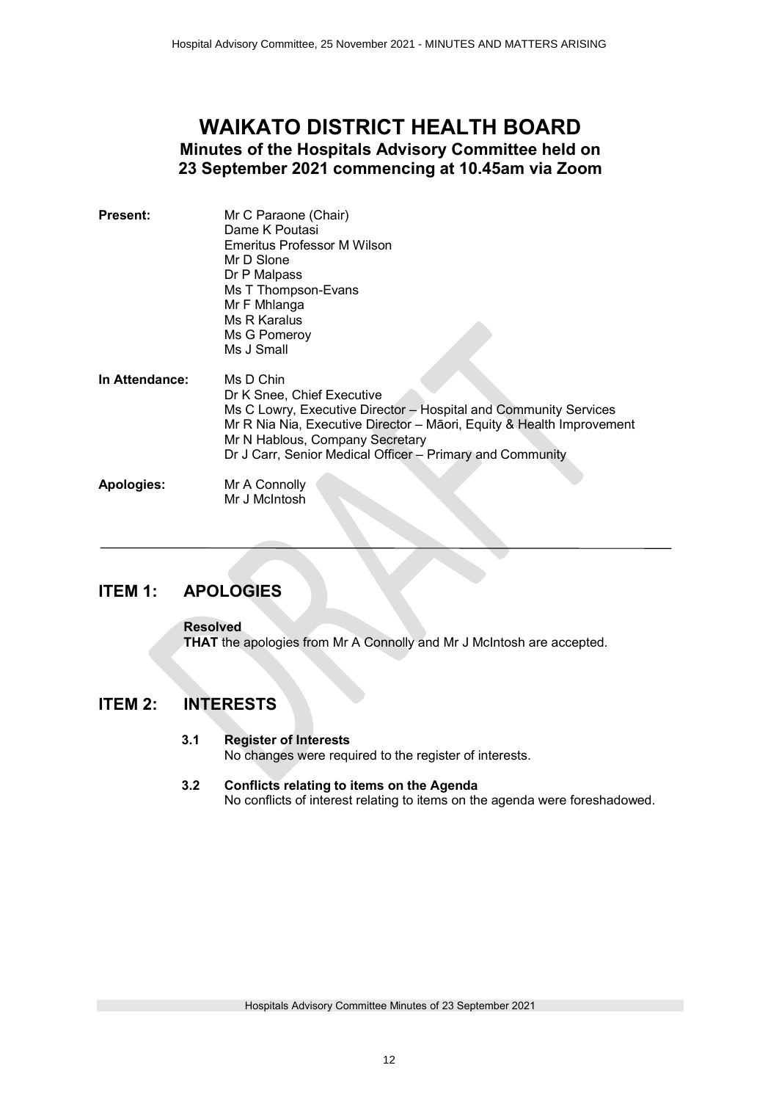## <span id="page-11-0"></span>**WAIKATO DISTRICT HEALTH BOARD Minutes of the Hospitals Advisory Committee held on 23 September 2021 commencing at 10.45am via Zoom**

| <b>Present:</b>   | Mr C Paraone (Chair)<br>Dame K Poutasi<br>Emeritus Professor M Wilson<br>Mr D Slone<br>Dr P Malpass<br>Ms T Thompson-Evans<br>Mr F Mhlanga                                                                                                                                           |
|-------------------|--------------------------------------------------------------------------------------------------------------------------------------------------------------------------------------------------------------------------------------------------------------------------------------|
|                   | Ms R Karalus<br>Ms G Pomeroy<br>Ms J Small                                                                                                                                                                                                                                           |
| In Attendance:    | Ms D Chin<br>Dr K Snee, Chief Executive<br>Ms C Lowry, Executive Director - Hospital and Community Services<br>Mr R Nia Nia, Executive Director - Māori, Equity & Health Improvement<br>Mr N Hablous, Company Secretary<br>Dr J Carr, Senior Medical Officer - Primary and Community |
| <b>Apologies:</b> | Mr A Connolly<br>Mr J McIntosh                                                                                                                                                                                                                                                       |

### **ITEM 1: APOLOGIES**

**Resolved THAT** the apologies from Mr A Connolly and Mr J McIntosh are accepted.

### **ITEM 2: INTERESTS**

#### **3.1 Register of Interests**

No changes were required to the register of interests.

#### **3.2 Conflicts relating to items on the Agenda** No conflicts of interest relating to items on the agenda were foreshadowed.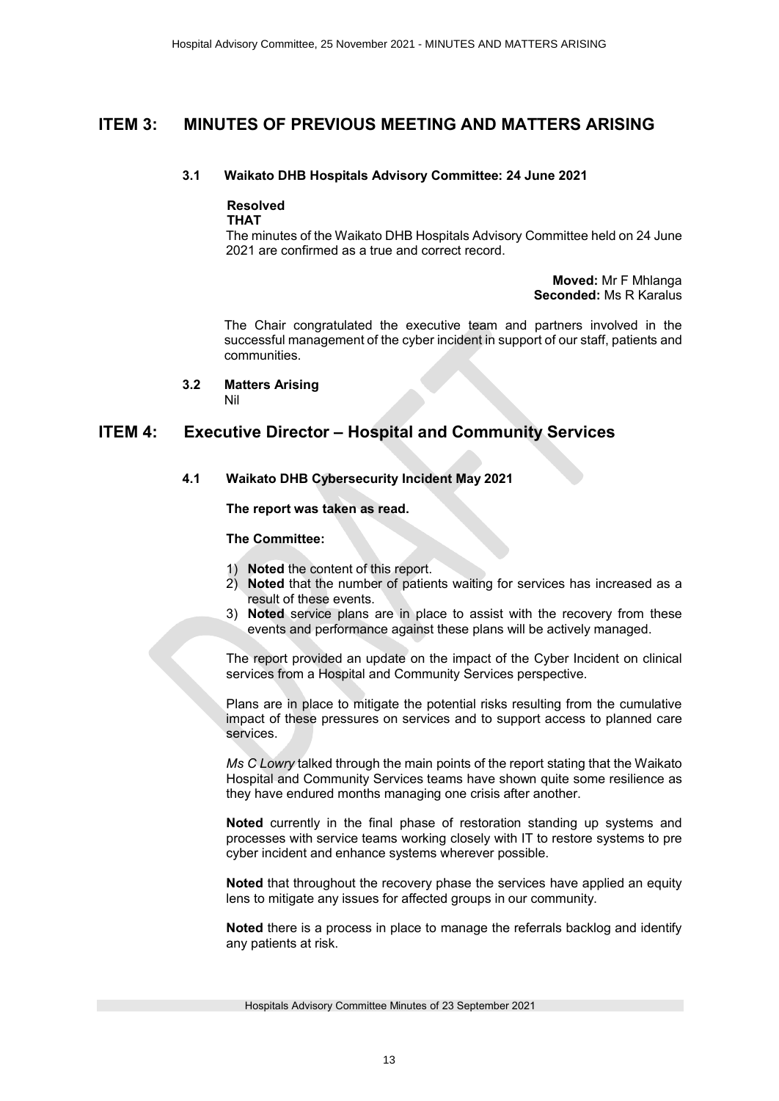### **ITEM 3: MINUTES OF PREVIOUS MEETING AND MATTERS ARISING**

#### **3.1 Waikato DHB Hospitals Advisory Committee: 24 June 2021**

## **Resolved**

**THAT**

The minutes of the Waikato DHB Hospitals Advisory Committee held on 24 June 2021 are confirmed as a true and correct record.

> **Moved:** Mr F Mhlanga **Seconded:** Ms R Karalus

The Chair congratulated the executive team and partners involved in the successful management of the cyber incident in support of our staff, patients and communities.

**3.2 Matters Arising** 

Nil

### **ITEM 4: Executive Director – Hospital and Community Services**

#### **4.1 Waikato DHB Cybersecurity Incident May 2021**

**The report was taken as read.** 

#### **The Committee:**

- 1) **Noted** the content of this report.
- 2) **Noted** that the number of patients waiting for services has increased as a result of these events.
- 3) **Noted** service plans are in place to assist with the recovery from these events and performance against these plans will be actively managed.

The report provided an update on the impact of the Cyber Incident on clinical services from a Hospital and Community Services perspective.

Plans are in place to mitigate the potential risks resulting from the cumulative impact of these pressures on services and to support access to planned care services.

*Ms C Lowry* talked through the main points of the report stating that the Waikato Hospital and Community Services teams have shown quite some resilience as they have endured months managing one crisis after another.

**Noted** currently in the final phase of restoration standing up systems and processes with service teams working closely with IT to restore systems to pre cyber incident and enhance systems wherever possible.

**Noted** that throughout the recovery phase the services have applied an equity lens to mitigate any issues for affected groups in our community.

**Noted** there is a process in place to manage the referrals backlog and identify any patients at risk.

Hospitals Advisory Committee Minutes of 23 September 2021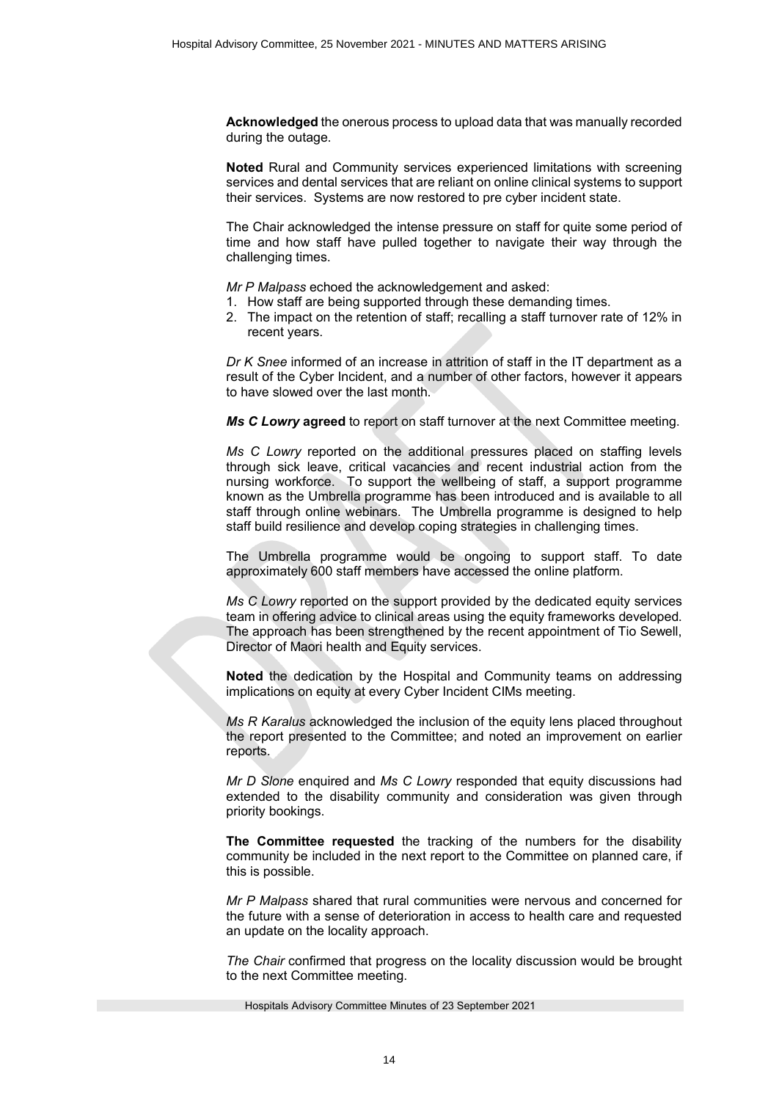**Acknowledged** the onerous process to upload data that was manually recorded during the outage.

**Noted** Rural and Community services experienced limitations with screening services and dental services that are reliant on online clinical systems to support their services. Systems are now restored to pre cyber incident state.

The Chair acknowledged the intense pressure on staff for quite some period of time and how staff have pulled together to navigate their way through the challenging times.

*Mr P Malpass* echoed the acknowledgement and asked:

- 1. How staff are being supported through these demanding times.
- 2. The impact on the retention of staff; recalling a staff turnover rate of 12% in recent years.

*Dr K Snee* informed of an increase in attrition of staff in the IT department as a result of the Cyber Incident, and a number of other factors, however it appears to have slowed over the last month.

*Ms C Lowry* **agreed** to report on staff turnover at the next Committee meeting.

*Ms C Lowry* reported on the additional pressures placed on staffing levels through sick leave, critical vacancies and recent industrial action from the nursing workforce. To support the wellbeing of staff, a support programme known as the Umbrella programme has been introduced and is available to all staff through online webinars. The Umbrella programme is designed to help staff build resilience and develop coping strategies in challenging times.

The Umbrella programme would be ongoing to support staff. To date approximately 600 staff members have accessed the online platform.

*Ms C Lowry* reported on the support provided by the dedicated equity services team in offering advice to clinical areas using the equity frameworks developed. The approach has been strengthened by the recent appointment of Tio Sewell, Director of Maori health and Equity services.

**Noted** the dedication by the Hospital and Community teams on addressing implications on equity at every Cyber Incident CIMs meeting.

*Ms R Karalus* acknowledged the inclusion of the equity lens placed throughout the report presented to the Committee; and noted an improvement on earlier reports.

*Mr D Slone* enquired and *Ms C Lowry* responded that equity discussions had extended to the disability community and consideration was given through priority bookings.

**The Committee requested** the tracking of the numbers for the disability community be included in the next report to the Committee on planned care, if this is possible.

*Mr P Malpass* shared that rural communities were nervous and concerned for the future with a sense of deterioration in access to health care and requested an update on the locality approach.

*The Chair* confirmed that progress on the locality discussion would be brought to the next Committee meeting.

Hospitals Advisory Committee Minutes of 23 September 2021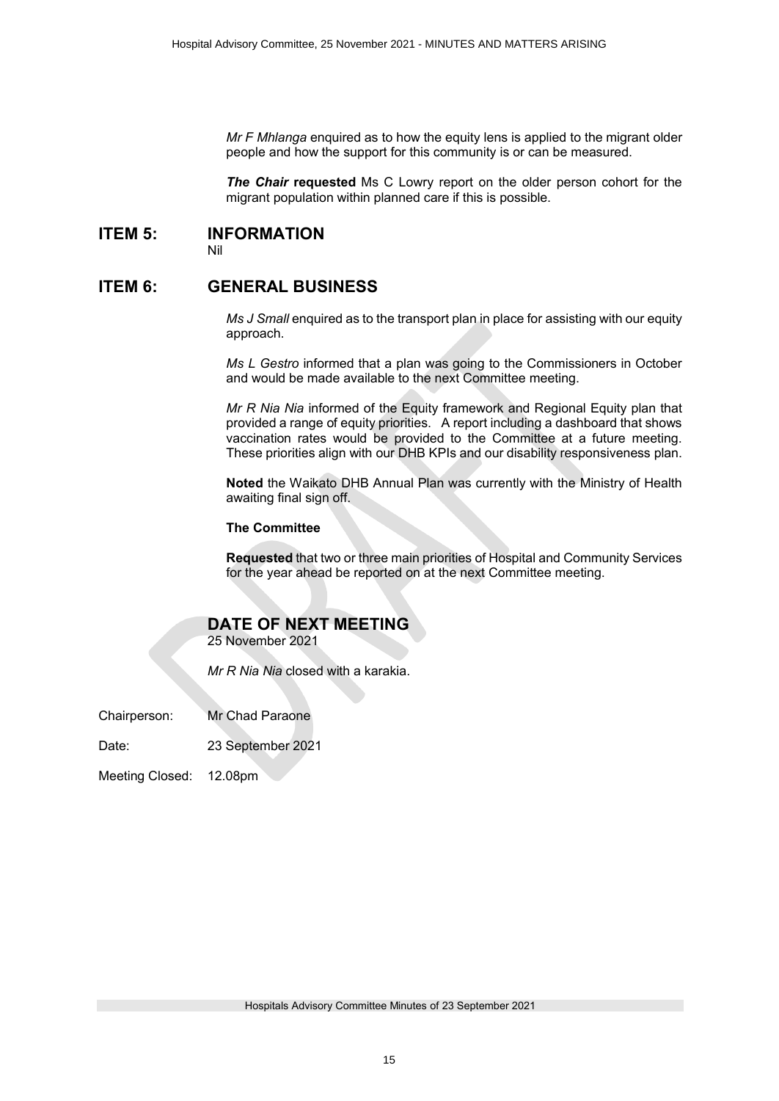*Mr F Mhlanga* enquired as to how the equity lens is applied to the migrant older people and how the support for this community is or can be measured.

*The Chair* **requested** Ms C Lowry report on the older person cohort for the migrant population within planned care if this is possible.

#### **ITEM 5: INFORMATION**

Nil

#### **ITEM 6: GENERAL BUSINESS**

*Ms J Small* enquired as to the transport plan in place for assisting with our equity approach.

*Ms L Gestro* informed that a plan was going to the Commissioners in October and would be made available to the next Committee meeting.

*Mr R Nia Nia* informed of the Equity framework and Regional Equity plan that provided a range of equity priorities. A report including a dashboard that shows vaccination rates would be provided to the Committee at a future meeting. These priorities align with our DHB KPIs and our disability responsiveness plan.

**Noted** the Waikato DHB Annual Plan was currently with the Ministry of Health awaiting final sign off.

#### **The Committee**

**Requested** that two or three main priorities of Hospital and Community Services for the year ahead be reported on at the next Committee meeting.

### **DATE OF NEXT MEETING**

25 November 2021

*Mr R Nia Nia* closed with a karakia.

Chairperson: Mr Chad Paraone

Date: 23 September 2021

Meeting Closed: 12.08pm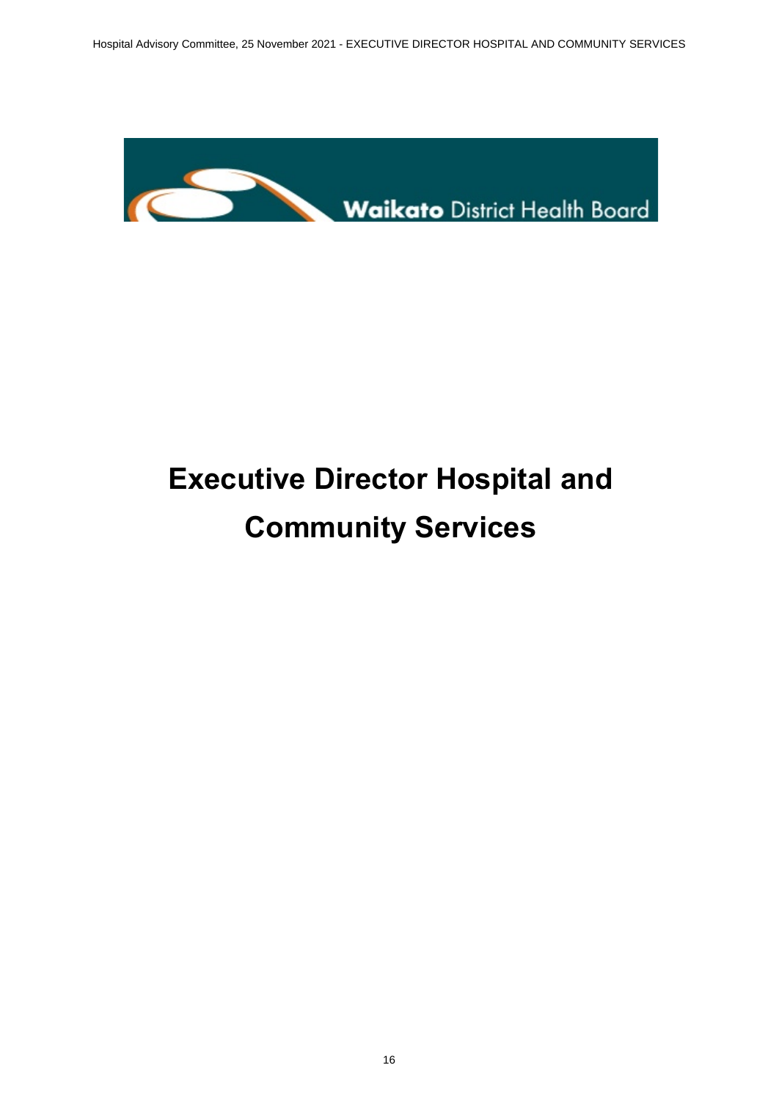

# **Executive Director Hospital and Community Services**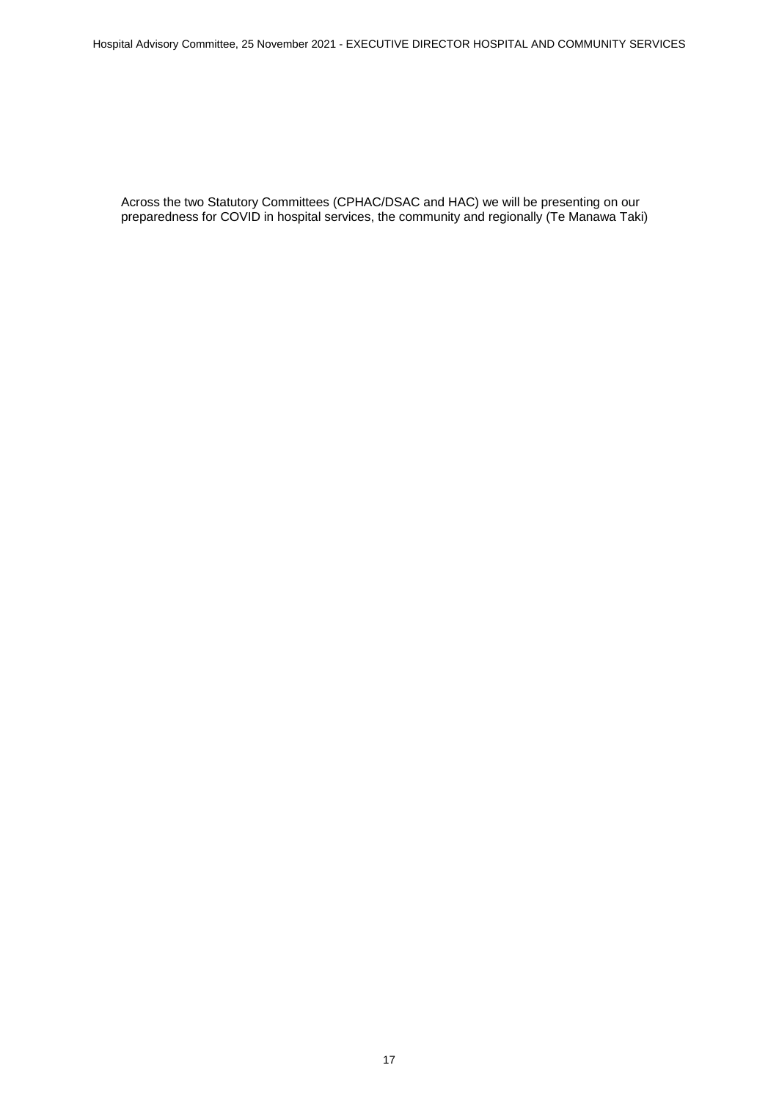<span id="page-16-0"></span>Across the two Statutory Committees (CPHAC/DSAC and HAC) we will be presenting on our preparedness for COVID in hospital services, the community and regionally (Te Manawa Taki)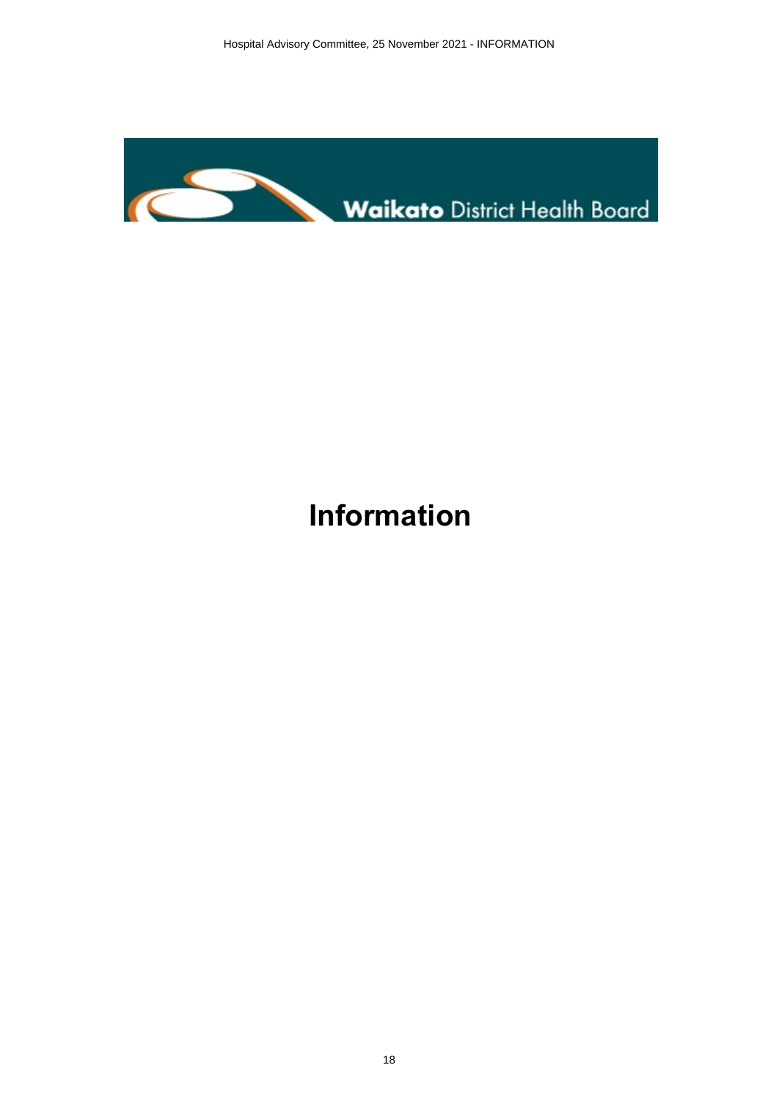<span id="page-17-0"></span>

## **Information**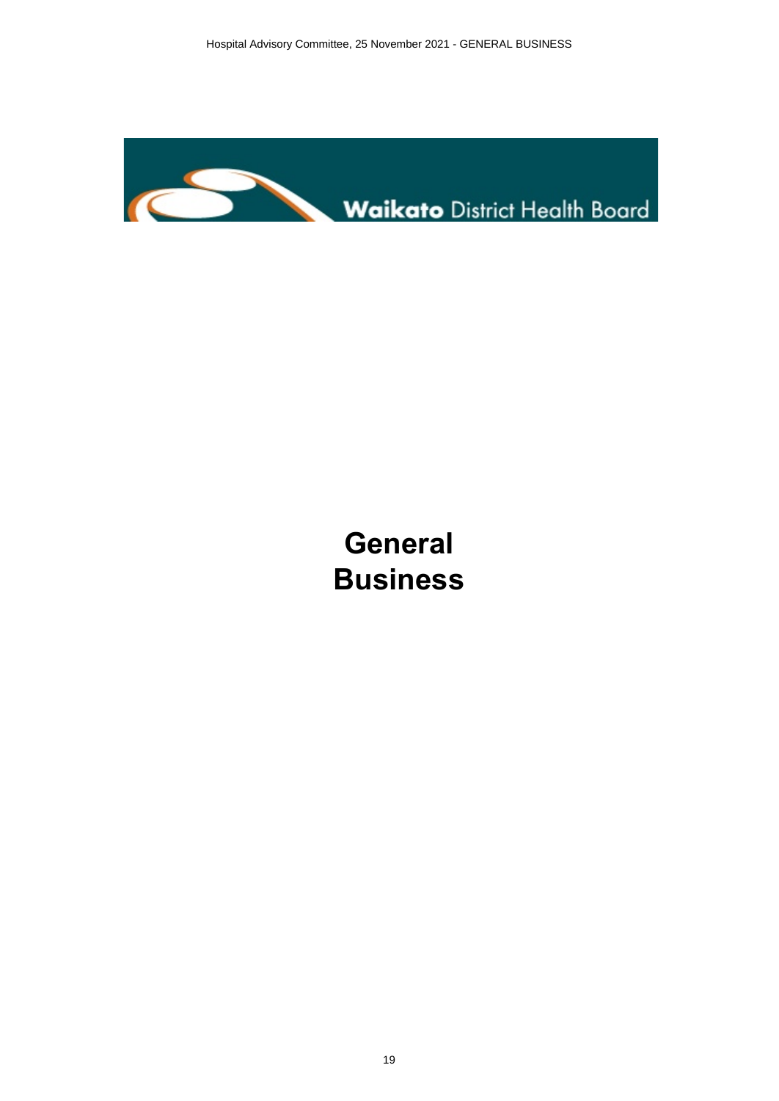<span id="page-18-0"></span>

## **General Business**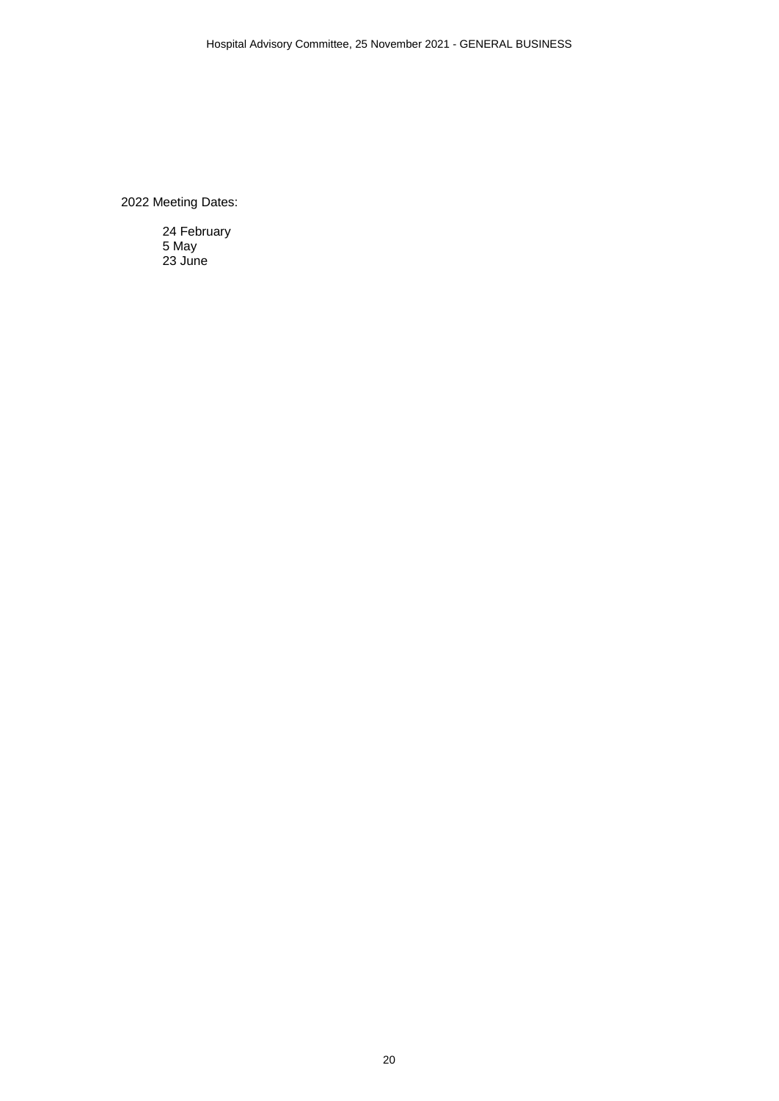<span id="page-19-0"></span>2022 Meeting Dates:

24 February 5 May 23 June